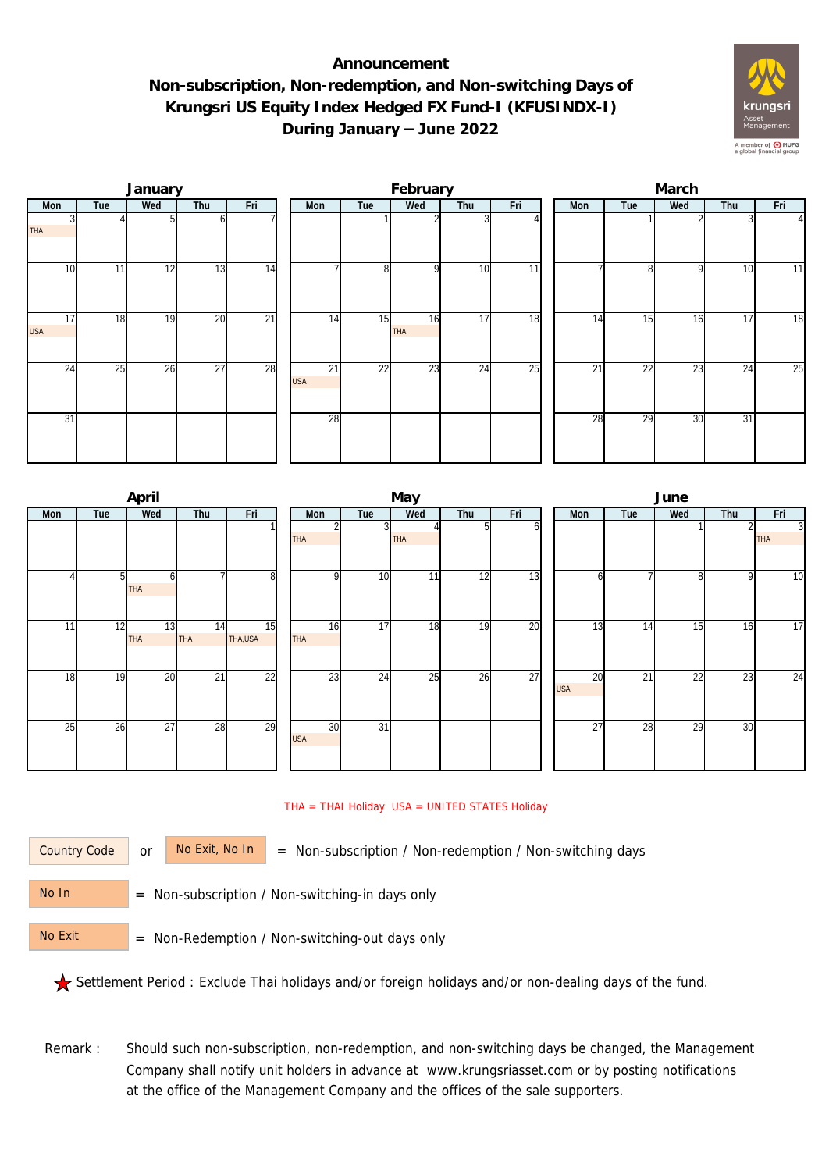## **Announcement Non-subscription, Non-redemption, and Non-switching Days of Krungsri US Equity Index Hedged FX Fund-I (KFUSINDX-I) During January – June 2022**



|                  |     | January |                 |                 | February         |     |                  |     |                 |  | March |     |     |     |                |  |
|------------------|-----|---------|-----------------|-----------------|------------------|-----|------------------|-----|-----------------|--|-------|-----|-----|-----|----------------|--|
| Mon              | Tue | Wed     | Thu             | Fri             | Mon              | Tue | Wed              | Thu | Fri             |  | Mon   | Tue | Wed | Thu | Fri            |  |
| <b>THA</b>       |     |         |                 |                 |                  |     |                  |     |                 |  |       |     |     |     | $\overline{4}$ |  |
| 10               | 11  | 12      | 13              | 14              |                  | 8   | $\Omega$         | 10  | 11              |  |       | 8   | 9   | 10  | 11             |  |
| 17<br><b>USA</b> | 18  | 19      | 20              | $\overline{21}$ | 14               | 15  | 16<br><b>THA</b> | 17  | 18              |  | 14    | 15  | 16  | 17  | 18             |  |
| 24               | 25  | 26      | $\overline{27}$ | 28              | 21<br><b>USA</b> | 22  | 23               | 24  | $\overline{25}$ |  | 21    | 22  | 23  | 24  | 25             |  |
| 31               |     |         |                 |                 | 28               |     |                  |     |                 |  | 28    | 29  | 30  | 31  |                |  |

|                 |                | April            |                  |                 |                  |                 | May        |     |     | June             |                 |     |     |                              |  |  |
|-----------------|----------------|------------------|------------------|-----------------|------------------|-----------------|------------|-----|-----|------------------|-----------------|-----|-----|------------------------------|--|--|
| Mon             | Tue            | Wed              | Thu              | Fri             | Mon              | Tue             | Wed        | Thu | Fri | Mon              | Tue             | Wed | Thu | Fri                          |  |  |
|                 |                |                  |                  |                 | <b>THA</b>       | 3               | <b>THA</b> | 5   | ΩI  |                  |                 |     |     | $\overline{3}$<br><b>THA</b> |  |  |
|                 | 5 <sup>1</sup> | 61<br><b>THA</b> |                  | 8               | <sub>Q</sub>     | 10              | 11         | 12  | 13  | h                |                 | 8   | 9   | 10                           |  |  |
| 11 <sub>l</sub> | 12             | 13<br><b>THA</b> | 14<br><b>THA</b> | 15<br>THA,USA   | 16<br>THA        | 17              | 18         | 19  | 20  | $\overline{13}$  | 14              | 15  | 16  | 17                           |  |  |
| 18              | 19             | 20               | $\overline{21}$  | $\overline{22}$ | $2\overline{3}$  | 24              | 25         | 26  | 27  | 20<br><b>USA</b> | $\overline{21}$ | 22  | 23  | 24                           |  |  |
| $2\overline{5}$ | 26             | 27               | 28               | 29              | 30<br><b>USA</b> | $\overline{31}$ |            |     |     | 27               | 28              | 29  | 30  |                              |  |  |

## THA = THAI Holiday USA = UNITED STATES Holiday

Country Code

or  $\overline{\phantom{a}}$  No Exit, No In  $\overline{\phantom{a}}$  = Non-subscription / Non-redemption / Non-switching days

 = Non-subscription / Non-switching-in days only No In

 = Non-Redemption / Non-switching-out days only No Exit

Settlement Period : Exclude Thai holidays and/or foreign holidays and/or non-dealing days of the fund.

Remark : Should such non-subscription, non-redemption, and non-switching days be changed, the Management Company shall notify unit holders in advance at www.krungsriasset.com or by posting notifications at the office of the Management Company and the offices of the sale supporters.